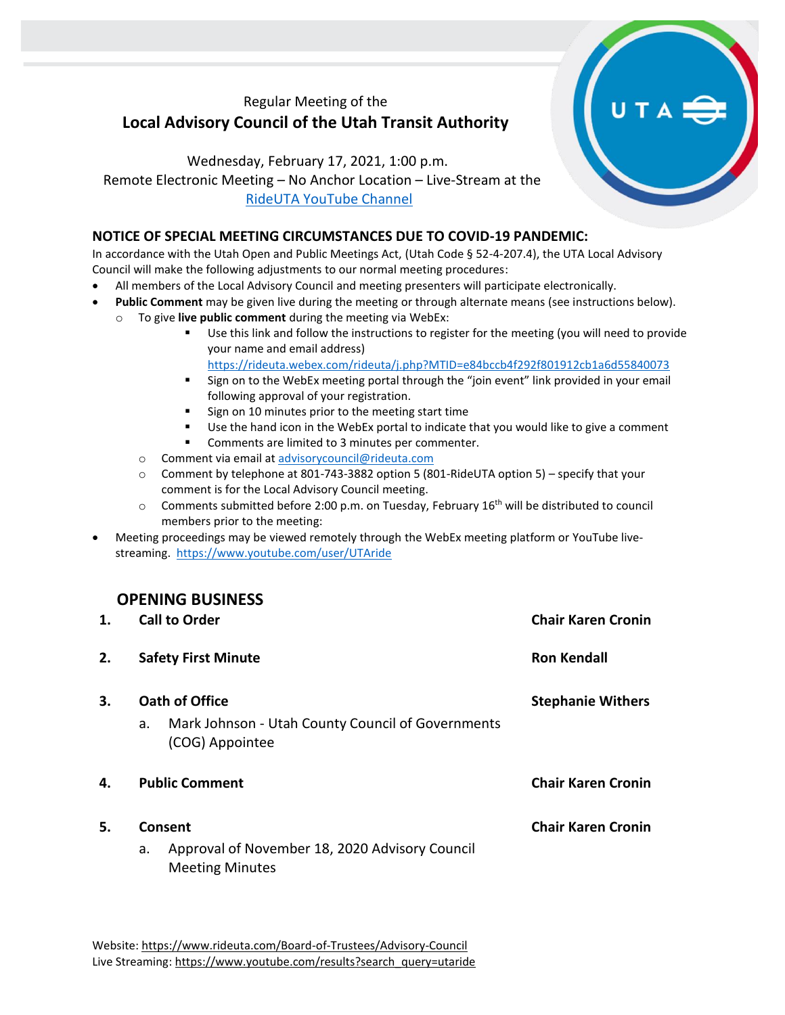## Regular Meeting of the **Local Advisory Council of the Utah Transit Authority**

Wednesday, February 17, 2021, 1:00 p.m. Remote Electronic Meeting – No Anchor Location – Live-Stream at the [RideUTA YouTube Channel](https://www.youtube.com/channel/UCjbc4Pt4VyJWg9GnT0LgSuA)

## **NOTICE OF SPECIAL MEETING CIRCUMSTANCES DUE TO COVID-19 PANDEMIC:**

In accordance with the Utah Open and Public Meetings Act, (Utah Code § 52-4-207.4), the UTA Local Advisory Council will make the following adjustments to our normal meeting procedures:

- All members of the Local Advisory Council and meeting presenters will participate electronically.
- **Public Comment** may be given live during the meeting or through alternate means (see instructions below).
	- o To give **live public comment** during the meeting via WebEx:
		- Use this link and follow the instructions to register for the meeting (you will need to provide your name and email address)
		- <https://rideuta.webex.com/rideuta/j.php?MTID=e84bccb4f292f801912cb1a6d55840073> ■ Sign on to the WebEx meeting portal through the "join event" link provided in your email
			- following approval of your registration.
		- Sign on 10 minutes prior to the meeting start time
		- Use the hand icon in the WebEx portal to indicate that you would like to give a comment
		- Comments are limited to 3 minutes per commenter.
		- o Comment via email at [advisorycouncil@rideuta.com](mailto:advisorycouncil@rideuta.com)
		- o Comment by telephone at 801-743-3882 option 5 (801-RideUTA option 5) specify that your comment is for the Local Advisory Council meeting.
		- $\circ$  Comments submitted before 2:00 p.m. on Tuesday, February 16<sup>th</sup> will be distributed to council members prior to the meeting:
- Meeting proceedings may be viewed remotely through the WebEx meeting platform or YouTube livestreaming. <https://www.youtube.com/user/UTAride>

## **OPENING BUSINESS**

| 1. | <b>Call to Order</b>                                                                         | <b>Chair Karen Cronin</b> |  |
|----|----------------------------------------------------------------------------------------------|---------------------------|--|
| 2. | <b>Safety First Minute</b>                                                                   | <b>Ron Kendall</b>        |  |
| 3. | Oath of Office<br>Mark Johnson - Utah County Council of Governments<br>a.<br>(COG) Appointee | <b>Stephanie Withers</b>  |  |
| 4. | <b>Public Comment</b>                                                                        | <b>Chair Karen Cronin</b> |  |
| 5. | Consent<br>Approval of November 18, 2020 Advisory Council<br>a.<br><b>Meeting Minutes</b>    | <b>Chair Karen Cronin</b> |  |